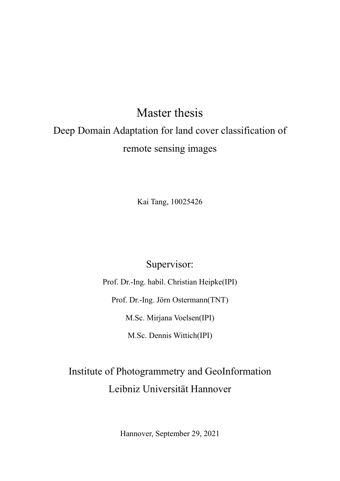# Master thesis Deep Domain Adaptation for land cover classification of remote sensing images

Kai Tang, 10025426

Supervisor:

Prof. Dr.-Ing. habil. Christian Heipke(IPI) Prof. Dr.-Ing. Jörn Ostermann(TNT) M.Sc. Mirjana Voelsen(IPI) M.Sc. Dennis Wittich(IPI)

## Institute of Photogrammetry and GeoInformation Leibniz Universität Hannover

Hannover, September 29, 2021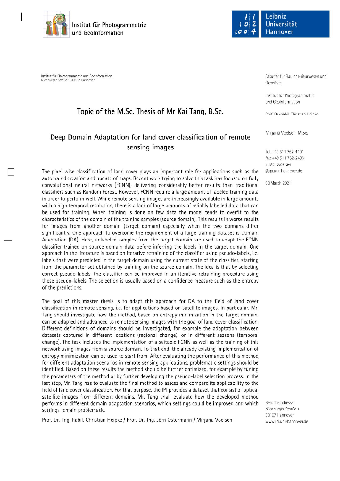

Institut für Photogrammetrie und Geolnformation. Nienburger Straße 1, 30167 Hannove

### Topic of the M.Sc. Thesis of Mr Kai Tang, B.Sc.

## Deep Domain Adaptation for land cover classification of remote sensing images

The pixel-wise classification of land cover plays an important role for applications such as the automated creation and update of maps. Recent work trying to solve this task has focused on fully convolutional neural networks (FCNN), delivering considerably better results than traditional classifiers such as Random Forest. However, FCNN require a large amount of labeled training data in order to perform well. While remote sensing images are increasingly available in large amounts with a high temporal resolution, there is a lack of large amounts of reliably labelled data that can be used for training. When training is done on few data the model tends to overfit to the characteristics of the domain of the training samples (source domain). This results in worse results for images from another domain (target domain) especially when the two domains differ significantly. One approach to overcome the requirement of a large training dataset is Domain Adaptation (DA). Here, unlabeled samples from the target domain are used to adapt the FCNN classifier trained on source domain data before inferring the labels in the target domain. One approach in the literature is based on iterative retraining of the classifier using pseudo-labels, i.e. labels that were predicted in the target domain using the current state of the classifier, starting from the parameter set obtained by training on the source domain. The idea is that by selecting correct pseudo-labels, the classifier can be improved in an iterative retraining procedure using these pseudo-labels. The selection is usually based on a confidence measure such as the entropy of the predictions.

The goal of this master thesis is to adapt this approach for DA to the field of land cover classification in remote sensing, i.e. for applications based on satellite images. In particular, Mr. Tang should investigate how the method, based on entropy minimization in the target domain, can be adapted and advanced to remote sensing images with the goal of land cover classification. Different definitions of domains should be investigated, for example the adaptation between datasets captured in different locations (regional change), or in different seasons (temporal change). The task includes the implementation of a suitable FCNN as well as the training of this network using images from a source domain. To that end, the already existing implementation of entropy minimization can be used to start from. After evaluating the performance of this method for different adaptation scenarios in remote sensing applications, problematic settings should be identified. Based on these results the method should be further optimized, for example by tuning the parameters of the method or by further developing the pseudo-label selection process. In the last step, Mr. Tang has to evaluate the final method to assess and compare its applicability to the field of land cover classification. For that purpose, the IPI provides a dataset that consist of optical satellite images from different domains. Mr. Tang shall evaluate how the developed method performs in different domain adaptation scenarios, which settings could be improved and which settings remain problematic.

Prof. Dr.-Ing. habil. Christian Heipke / Prof. Dr.-Ing. Jörn Ostermann / Mirjana Voelsen



Fakultät für Bauingenieurwesen und Geodäsie

Institut für Photogrammetrie und Geolnformation

Prof. Dr.-habil. Christian Heipke

Mirjana Voelsen, M.Sc.

Tel. +49 511 762-4401 Fax +49 511 762-2483 F-Mail: voelsen @ipi.uni-hannover.de

30 March 2021

Besucheradresse: Nienburger Straße 1 30167 Hannover www.ipi.uni-hannover.de